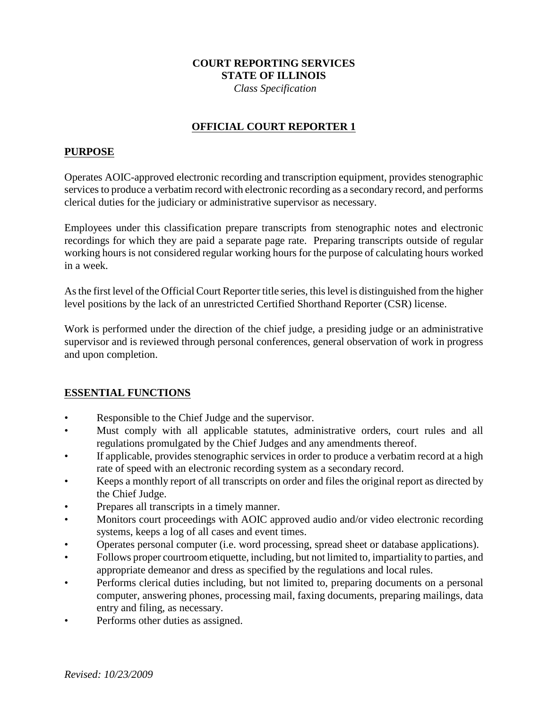## **COURT REPORTING SERVICES STATE OF ILLINOIS**

 *Class Specification*

### **OFFICIAL COURT REPORTER 1**

#### **PURPOSE**

Operates AOIC-approved electronic recording and transcription equipment, provides stenographic services to produce a verbatim record with electronic recording as a secondary record, and performs clerical duties for the judiciary or administrative supervisor as necessary.

Employees under this classification prepare transcripts from stenographic notes and electronic recordings for which they are paid a separate page rate. Preparing transcripts outside of regular working hours is not considered regular working hours for the purpose of calculating hours worked in a week.

As the first level of the Official Court Reporter title series, this level is distinguished from the higher level positions by the lack of an unrestricted Certified Shorthand Reporter (CSR) license.

Work is performed under the direction of the chief judge, a presiding judge or an administrative supervisor and is reviewed through personal conferences, general observation of work in progress and upon completion.

### **ESSENTIAL FUNCTIONS**

- Responsible to the Chief Judge and the supervisor.
- Must comply with all applicable statutes, administrative orders, court rules and all regulations promulgated by the Chief Judges and any amendments thereof.
- If applicable, provides stenographic services in order to produce a verbatim record at a high rate of speed with an electronic recording system as a secondary record.
- Keeps a monthly report of all transcripts on order and files the original report as directed by the Chief Judge.
- Prepares all transcripts in a timely manner.
- Monitors court proceedings with AOIC approved audio and/or video electronic recording systems, keeps a log of all cases and event times.
- Operates personal computer (i.e. word processing, spread sheet or database applications).
- Follows proper courtroom etiquette, including, but not limited to, impartiality to parties, and appropriate demeanor and dress as specified by the regulations and local rules.
- Performs clerical duties including, but not limited to, preparing documents on a personal computer, answering phones, processing mail, faxing documents, preparing mailings, data entry and filing, as necessary.
- Performs other duties as assigned.